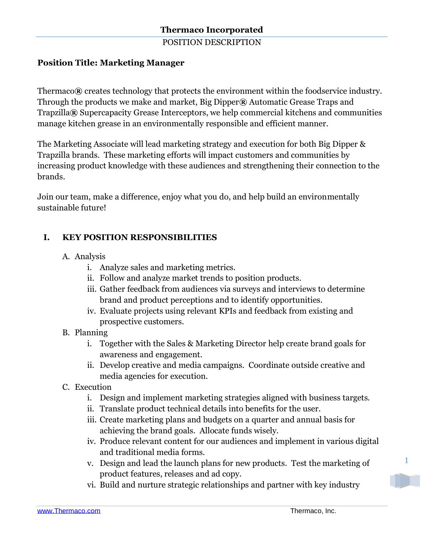POSITION DESCRIPTION

# **Position Title: Marketing Manager**

Thermaco**®** creates technology that protects the environment within the foodservice industry. Through the products we make and market, Big Dipper**®** Automatic Grease Traps and Trapzilla**®** Supercapacity Grease Interceptors, we help commercial kitchens and communities manage kitchen grease in an environmentally responsible and efficient manner.

The Marketing Associate will lead marketing strategy and execution for both Big Dipper & Trapzilla brands. These marketing efforts will impact customers and communities by increasing product knowledge with these audiences and strengthening their connection to the brands.

Join our team, make a difference, enjoy what you do, and help build an environmentally sustainable future!

# **I. KEY POSITION RESPONSIBILITIES**

- A. Analysis
	- i. Analyze sales and marketing metrics.
	- ii. Follow and analyze market trends to position products.
	- iii. Gather feedback from audiences via surveys and interviews to determine brand and product perceptions and to identify opportunities.
	- iv. Evaluate projects using relevant KPIs and feedback from existing and prospective customers.
- B. Planning
	- i. Together with the Sales & Marketing Director help create brand goals for awareness and engagement.
	- ii. Develop creative and media campaigns. Coordinate outside creative and media agencies for execution.
- C. Execution
	- i. Design and implement marketing strategies aligned with business targets.
	- ii. Translate product technical details into benefits for the user.
	- iii. Create marketing plans and budgets on a quarter and annual basis for achieving the brand goals. Allocate funds wisely.
	- iv. Produce relevant content for our audiences and implement in various digital and traditional media forms.
	- v. Design and lead the launch plans for new products. Test the marketing of product features, releases and ad copy.
	- vi. Build and nurture strategic relationships and partner with key industry

1